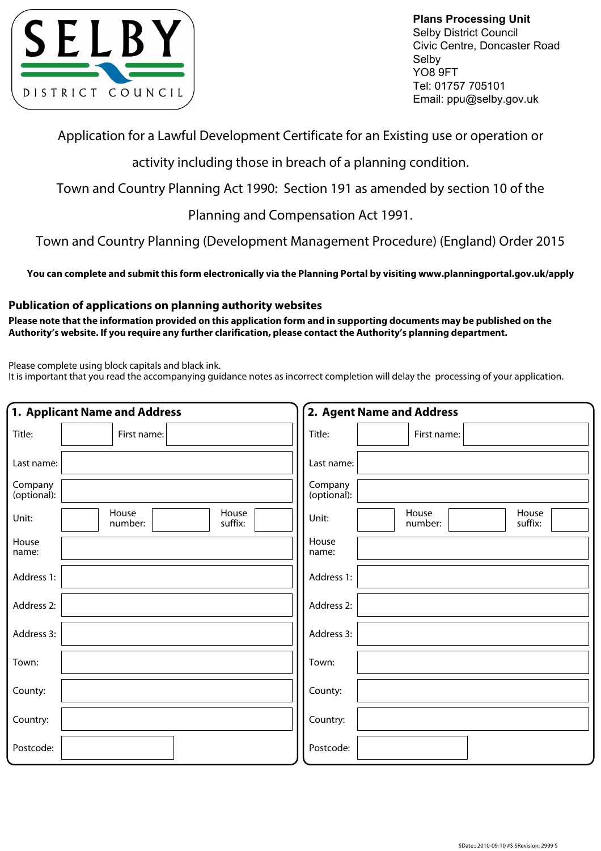

**Plans Processing Unit** Selby District Council Civic Centre, Doncaster Road Selby YO8 9FT Tel: 01757 705101 Email: ppu@selby.gov.uk

Application for a Lawful Development Certificate for an Existing use or operation or

activity including those in breach of a planning condition.

Town and Country Planning Act 1990: Section 191 as amended by section 10 of the

Planning and Compensation Act 1991.

Town and Country Planning (Development Management Procedure) (England) Order 2015

**You can complete and submit this form electronically via the Planning Portal by visiting www.planningportal.gov.uk/apply**

## **Publication of applications on planning authority websites**

**Please note that the information provided on this application form and in supporting documents may be published on the Authority's website. If you require any further clarification, please contact the Authority's planning department.**

Please complete using block capitals and black ink.

It is important that you read the accompanying guidance notes as incorrect completion will delay the processing of your application.

|                        | 1. Applicant Name and Address        | 2. Agent Name and Address                     |
|------------------------|--------------------------------------|-----------------------------------------------|
| Title:                 | First name:                          | Title:<br>First name:                         |
| Last name:             |                                      | Last name:                                    |
| Company<br>(optional): |                                      | Company<br>(optional):                        |
| Unit:                  | House<br>House<br>number:<br>suffix: | House<br>House<br>Unit:<br>suffix:<br>number: |
| House<br>name:         |                                      | House<br>name:                                |
| Address 1:             |                                      | Address 1:                                    |
| Address 2:             |                                      | Address 2:                                    |
| Address 3:             |                                      | Address 3:                                    |
| Town:                  |                                      | Town:                                         |
| County:                |                                      | County:                                       |
| Country:               |                                      | Country:                                      |
| Postcode:              |                                      | Postcode:                                     |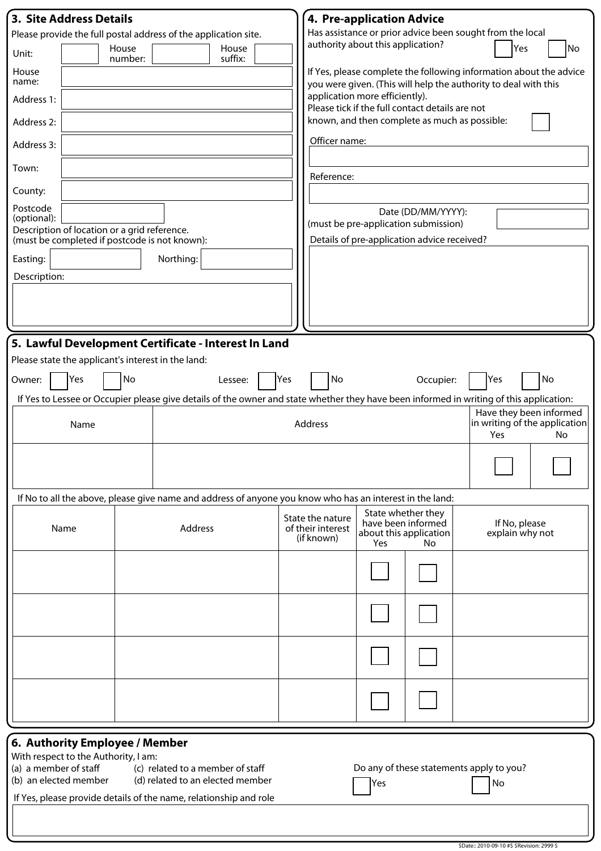| <b>3. Site Address Details</b>                                                                                         |                                                                        |    |                                                    |                                                                                                                                         |     | 4. Pre-application Advice                                                                                                             |     |                                                    |                                  |     |    |  |  |
|------------------------------------------------------------------------------------------------------------------------|------------------------------------------------------------------------|----|----------------------------------------------------|-----------------------------------------------------------------------------------------------------------------------------------------|-----|---------------------------------------------------------------------------------------------------------------------------------------|-----|----------------------------------------------------|----------------------------------|-----|----|--|--|
| Please provide the full postal address of the application site.                                                        |                                                                        |    |                                                    |                                                                                                                                         |     | Has assistance or prior advice been sought from the local<br>authority about this application?                                        |     |                                                    |                                  |     |    |  |  |
| Unit:                                                                                                                  | House<br>House<br>suffix:<br>number:                                   |    |                                                    |                                                                                                                                         |     |                                                                                                                                       |     |                                                    |                                  | Yes | No |  |  |
| House<br>name:                                                                                                         |                                                                        |    |                                                    |                                                                                                                                         |     | If Yes, please complete the following information about the advice<br>you were given. (This will help the authority to deal with this |     |                                                    |                                  |     |    |  |  |
| Address 1:                                                                                                             |                                                                        |    |                                                    |                                                                                                                                         |     | application more efficiently).<br>Please tick if the full contact details are not                                                     |     |                                                    |                                  |     |    |  |  |
| Address 2:                                                                                                             |                                                                        |    |                                                    |                                                                                                                                         |     | known, and then complete as much as possible:                                                                                         |     |                                                    |                                  |     |    |  |  |
| Address 3:                                                                                                             |                                                                        |    |                                                    |                                                                                                                                         |     | Officer name:                                                                                                                         |     |                                                    |                                  |     |    |  |  |
| Town:                                                                                                                  |                                                                        |    |                                                    |                                                                                                                                         |     | Reference:                                                                                                                            |     |                                                    |                                  |     |    |  |  |
| County:                                                                                                                |                                                                        |    |                                                    |                                                                                                                                         |     |                                                                                                                                       |     |                                                    |                                  |     |    |  |  |
| Postcode<br>(optional):                                                                                                |                                                                        |    |                                                    |                                                                                                                                         |     | Date (DD/MM/YYYY):<br>(must be pre-application submission)                                                                            |     |                                                    |                                  |     |    |  |  |
|                                                                                                                        | Description of location or a grid reference.                           |    | (must be completed if postcode is not known):      |                                                                                                                                         |     |                                                                                                                                       |     | Details of pre-application advice received?        |                                  |     |    |  |  |
| Easting:                                                                                                               |                                                                        |    | Northing:                                          |                                                                                                                                         |     |                                                                                                                                       |     |                                                    |                                  |     |    |  |  |
| Description:                                                                                                           |                                                                        |    |                                                    |                                                                                                                                         |     |                                                                                                                                       |     |                                                    |                                  |     |    |  |  |
|                                                                                                                        |                                                                        |    |                                                    |                                                                                                                                         |     |                                                                                                                                       |     |                                                    |                                  |     |    |  |  |
|                                                                                                                        |                                                                        |    |                                                    |                                                                                                                                         |     |                                                                                                                                       |     |                                                    |                                  |     |    |  |  |
|                                                                                                                        |                                                                        |    |                                                    | 5. Lawful Development Certificate - Interest In Land                                                                                    |     |                                                                                                                                       |     |                                                    |                                  |     |    |  |  |
|                                                                                                                        |                                                                        |    | Please state the applicant's interest in the land: |                                                                                                                                         |     |                                                                                                                                       |     |                                                    |                                  |     |    |  |  |
| Owner:                                                                                                                 | Yes                                                                    | No |                                                    | Lessee:                                                                                                                                 | Yes | No                                                                                                                                    |     | Occupier:                                          | Yes                              |     | No |  |  |
|                                                                                                                        |                                                                        |    |                                                    | If Yes to Lessee or Occupier please give details of the owner and state whether they have been informed in writing of this application: |     |                                                                                                                                       |     |                                                    |                                  |     |    |  |  |
| Name                                                                                                                   |                                                                        |    |                                                    |                                                                                                                                         |     | Have they been informed<br>in writing of the application<br>Address<br>Yes<br>No                                                      |     |                                                    |                                  |     |    |  |  |
|                                                                                                                        |                                                                        |    |                                                    |                                                                                                                                         |     |                                                                                                                                       |     |                                                    |                                  |     |    |  |  |
|                                                                                                                        |                                                                        |    |                                                    |                                                                                                                                         |     |                                                                                                                                       |     |                                                    |                                  |     |    |  |  |
| If No to all the above, please give name and address of anyone you know who has an interest in the land:               |                                                                        |    |                                                    |                                                                                                                                         |     |                                                                                                                                       |     | State whether they                                 |                                  |     |    |  |  |
|                                                                                                                        | Name<br>Address                                                        |    |                                                    |                                                                                                                                         |     | State the nature<br>of their interest<br>(if known)                                                                                   | Yes | have been informed<br>about this application<br>No | If No, please<br>explain why not |     |    |  |  |
|                                                                                                                        |                                                                        |    |                                                    |                                                                                                                                         |     |                                                                                                                                       |     |                                                    |                                  |     |    |  |  |
|                                                                                                                        |                                                                        |    |                                                    |                                                                                                                                         |     |                                                                                                                                       |     |                                                    |                                  |     |    |  |  |
|                                                                                                                        |                                                                        |    |                                                    |                                                                                                                                         |     |                                                                                                                                       |     |                                                    |                                  |     |    |  |  |
|                                                                                                                        |                                                                        |    |                                                    |                                                                                                                                         |     |                                                                                                                                       |     |                                                    |                                  |     |    |  |  |
|                                                                                                                        |                                                                        |    |                                                    |                                                                                                                                         |     |                                                                                                                                       |     |                                                    |                                  |     |    |  |  |
|                                                                                                                        |                                                                        |    |                                                    |                                                                                                                                         |     |                                                                                                                                       |     |                                                    |                                  |     |    |  |  |
|                                                                                                                        | 6. Authority Employee / Member<br>With respect to the Authority, I am: |    |                                                    |                                                                                                                                         |     |                                                                                                                                       |     |                                                    |                                  |     |    |  |  |
| (a) a member of staff<br>(c) related to a member of staff<br>(b) an elected member<br>(d) related to an elected member |                                                                        |    |                                                    |                                                                                                                                         |     |                                                                                                                                       |     | Do any of these statements apply to you?           |                                  |     |    |  |  |
| If Yes, please provide details of the name, relationship and role                                                      |                                                                        |    |                                                    |                                                                                                                                         |     |                                                                                                                                       | Yes |                                                    | No                               |     |    |  |  |
|                                                                                                                        |                                                                        |    |                                                    |                                                                                                                                         |     |                                                                                                                                       |     |                                                    |                                  |     |    |  |  |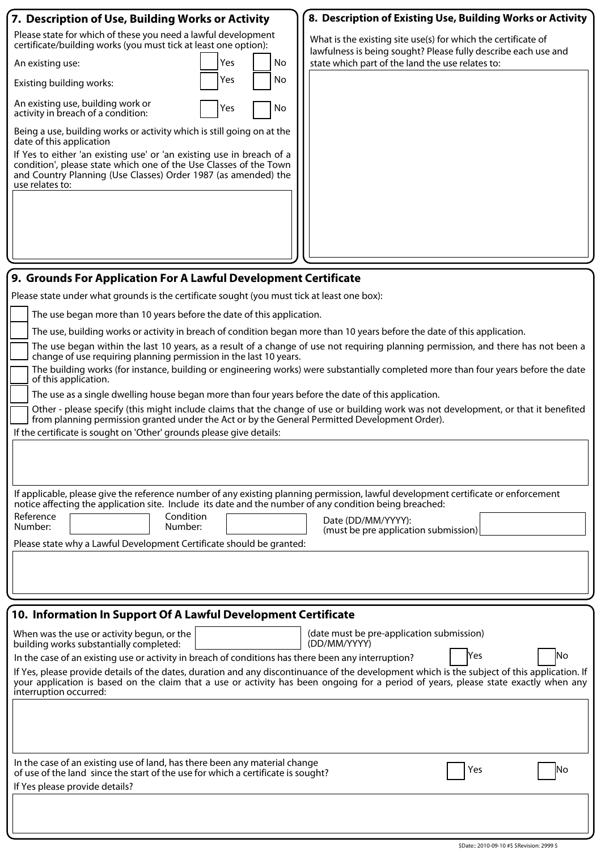| 7. Description of Use, Building Works or Activity                                                                                                                                                                                             | 8. Description of Existing Use, Building Works or Activity                                                                                                                                                                                                                          |  |  |  |  |  |  |  |
|-----------------------------------------------------------------------------------------------------------------------------------------------------------------------------------------------------------------------------------------------|-------------------------------------------------------------------------------------------------------------------------------------------------------------------------------------------------------------------------------------------------------------------------------------|--|--|--|--|--|--|--|
| Please state for which of these you need a lawful development<br>certificate/building works (you must tick at least one option):                                                                                                              | What is the existing site use(s) for which the certificate of<br>lawfulness is being sought? Please fully describe each use and                                                                                                                                                     |  |  |  |  |  |  |  |
| Yes<br><b>No</b><br>An existing use:                                                                                                                                                                                                          | state which part of the land the use relates to:                                                                                                                                                                                                                                    |  |  |  |  |  |  |  |
| No<br>Yes<br>Existing building works:                                                                                                                                                                                                         |                                                                                                                                                                                                                                                                                     |  |  |  |  |  |  |  |
| An existing use, building work or<br>No<br>Yes<br>activity in breach of a condition:                                                                                                                                                          |                                                                                                                                                                                                                                                                                     |  |  |  |  |  |  |  |
| Being a use, building works or activity which is still going on at the<br>date of this application                                                                                                                                            |                                                                                                                                                                                                                                                                                     |  |  |  |  |  |  |  |
| If Yes to either 'an existing use' or 'an existing use in breach of a<br>condition', please state which one of the Use Classes of the Town<br>and Country Planning (Use Classes) Order 1987 (as amended) the<br>use relates to:               |                                                                                                                                                                                                                                                                                     |  |  |  |  |  |  |  |
|                                                                                                                                                                                                                                               |                                                                                                                                                                                                                                                                                     |  |  |  |  |  |  |  |
|                                                                                                                                                                                                                                               |                                                                                                                                                                                                                                                                                     |  |  |  |  |  |  |  |
|                                                                                                                                                                                                                                               |                                                                                                                                                                                                                                                                                     |  |  |  |  |  |  |  |
| 9. Grounds For Application For A Lawful Development Certificate                                                                                                                                                                               |                                                                                                                                                                                                                                                                                     |  |  |  |  |  |  |  |
| Please state under what grounds is the certificate sought (you must tick at least one box):                                                                                                                                                   |                                                                                                                                                                                                                                                                                     |  |  |  |  |  |  |  |
| The use began more than 10 years before the date of this application.                                                                                                                                                                         |                                                                                                                                                                                                                                                                                     |  |  |  |  |  |  |  |
| The use, building works or activity in breach of condition began more than 10 years before the date of this application.                                                                                                                      |                                                                                                                                                                                                                                                                                     |  |  |  |  |  |  |  |
| The use began within the last 10 years, as a result of a change of use not requiring planning permission, and there has not been a<br>change of use requiring planning permission in the last 10 years.                                       |                                                                                                                                                                                                                                                                                     |  |  |  |  |  |  |  |
| The building works (for instance, building or engineering works) were substantially completed more than four years before the date<br>of this application.                                                                                    |                                                                                                                                                                                                                                                                                     |  |  |  |  |  |  |  |
| The use as a single dwelling house began more than four years before the date of this application.                                                                                                                                            |                                                                                                                                                                                                                                                                                     |  |  |  |  |  |  |  |
| Other - please specify (this might include claims that the change of use or building work was not development, or that it benefited                                                                                                           |                                                                                                                                                                                                                                                                                     |  |  |  |  |  |  |  |
| from planning permission granted under the Act or by the General Permitted Development Order).<br>If the certificate is sought on 'Other' grounds please give details:                                                                        |                                                                                                                                                                                                                                                                                     |  |  |  |  |  |  |  |
|                                                                                                                                                                                                                                               |                                                                                                                                                                                                                                                                                     |  |  |  |  |  |  |  |
|                                                                                                                                                                                                                                               |                                                                                                                                                                                                                                                                                     |  |  |  |  |  |  |  |
|                                                                                                                                                                                                                                               |                                                                                                                                                                                                                                                                                     |  |  |  |  |  |  |  |
| If applicable, please give the reference number of any existing planning permission, lawful development certificate or enforcement<br>notice affecting the application site. Include its date and the number of any condition being breached: |                                                                                                                                                                                                                                                                                     |  |  |  |  |  |  |  |
| Reference<br>Condition<br>Number:<br>Number:                                                                                                                                                                                                  | Date (DD/MM/YYYY):<br>(must be pre application submission)                                                                                                                                                                                                                          |  |  |  |  |  |  |  |
| Please state why a Lawful Development Certificate should be granted:                                                                                                                                                                          |                                                                                                                                                                                                                                                                                     |  |  |  |  |  |  |  |
|                                                                                                                                                                                                                                               |                                                                                                                                                                                                                                                                                     |  |  |  |  |  |  |  |
|                                                                                                                                                                                                                                               |                                                                                                                                                                                                                                                                                     |  |  |  |  |  |  |  |
|                                                                                                                                                                                                                                               |                                                                                                                                                                                                                                                                                     |  |  |  |  |  |  |  |
| 10. Information In Support Of A Lawful Development Certificate                                                                                                                                                                                |                                                                                                                                                                                                                                                                                     |  |  |  |  |  |  |  |
| When was the use or activity begun, or the<br>building works substantially completed:                                                                                                                                                         | (date must be pre-application submission)<br>(DD/MM/YYYY)                                                                                                                                                                                                                           |  |  |  |  |  |  |  |
| lYes<br>No<br>In the case of an existing use or activity in breach of conditions has there been any interruption?                                                                                                                             |                                                                                                                                                                                                                                                                                     |  |  |  |  |  |  |  |
| interruption occurred:                                                                                                                                                                                                                        | If Yes, please provide details of the dates, duration and any discontinuance of the development which is the subject of this application. If<br>your application is based on the claim that a use or activity has been ongoing for a period of years, please state exactly when any |  |  |  |  |  |  |  |
|                                                                                                                                                                                                                                               |                                                                                                                                                                                                                                                                                     |  |  |  |  |  |  |  |
| In the case of an existing use of land, has there been any material change<br>of use of the land since the start of the use for which a certificate is sought?                                                                                | No<br>Yes                                                                                                                                                                                                                                                                           |  |  |  |  |  |  |  |

If Yes please provide details?

\$Date:: 2010-09-10 #\$ \$Revision: 2999 \$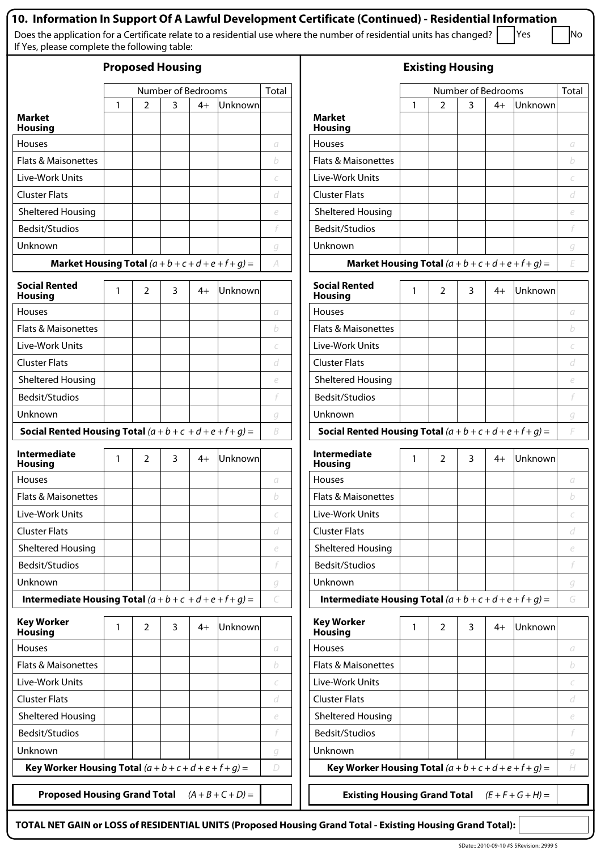| If Yes, please complete the following table:                       |   |                |                |      |                     |                                                                   | 10. Information In Support Of A Lawful Development Certificate (Continued) - Residential Information<br>Does the application for a Certificate relate to a residential use where the number of residential units has changed? |   |                |   |      | Yes                 | No                         |
|--------------------------------------------------------------------|---|----------------|----------------|------|---------------------|-------------------------------------------------------------------|-------------------------------------------------------------------------------------------------------------------------------------------------------------------------------------------------------------------------------|---|----------------|---|------|---------------------|----------------------------|
| <b>Proposed Housing</b>                                            |   |                |                |      |                     |                                                                   | <b>Existing Housing</b>                                                                                                                                                                                                       |   |                |   |      |                     |                            |
| Number of Bedrooms                                                 |   |                | Total          |      |                     | Total                                                             |                                                                                                                                                                                                                               |   |                |   |      |                     |                            |
|                                                                    | 1 | 2              | 3              | $4+$ | Unknown             |                                                                   |                                                                                                                                                                                                                               | 1 | 2              | 3 | $4+$ | Unknown             |                            |
| <b>Market</b><br><b>Housing</b>                                    |   |                |                |      |                     |                                                                   | <b>Market</b><br><b>Housing</b>                                                                                                                                                                                               |   |                |   |      |                     |                            |
| Houses                                                             |   |                |                |      |                     | а                                                                 | <b>Houses</b>                                                                                                                                                                                                                 |   |                |   |      |                     | a                          |
| <b>Flats &amp; Maisonettes</b>                                     |   |                |                |      |                     | b                                                                 | <b>Flats &amp; Maisonettes</b>                                                                                                                                                                                                |   |                |   |      |                     | b                          |
| Live-Work Units                                                    |   |                |                |      |                     | C                                                                 | Live-Work Units                                                                                                                                                                                                               |   |                |   |      |                     | С                          |
| <b>Cluster Flats</b>                                               |   |                |                |      |                     | d                                                                 | <b>Cluster Flats</b>                                                                                                                                                                                                          |   |                |   |      |                     | d                          |
| <b>Sheltered Housing</b>                                           |   |                |                |      |                     | $\mathop{\mathcal{C}}$                                            | <b>Sheltered Housing</b>                                                                                                                                                                                                      |   |                |   |      |                     | e                          |
| Bedsit/Studios                                                     |   |                |                |      |                     |                                                                   | Bedsit/Studios                                                                                                                                                                                                                |   |                |   |      |                     | f                          |
| Unknown                                                            |   |                |                |      |                     | g                                                                 | Unknown                                                                                                                                                                                                                       |   |                |   |      |                     | g                          |
| Market Housing Total $(a + b + c + d + e + f + q) =$               |   |                |                | A    |                     | Market Housing Total $(a + b + c + d + e + f + g) =$<br>E         |                                                                                                                                                                                                                               |   |                |   |      |                     |                            |
| <b>Social Rented</b><br><b>Housing</b>                             |   | 2              | 3              | 4+   | Unknown             |                                                                   | <b>Social Rented</b><br><b>Housing</b>                                                                                                                                                                                        |   | 2              | 3 | $4+$ | Unknown             |                            |
| <b>Houses</b>                                                      |   |                |                |      |                     | а                                                                 | Houses                                                                                                                                                                                                                        |   |                |   |      |                     | а                          |
| <b>Flats &amp; Maisonettes</b>                                     |   |                |                |      |                     | b                                                                 | Flats & Maisonettes                                                                                                                                                                                                           |   |                |   |      |                     | b                          |
| Live-Work Units                                                    |   |                |                |      |                     | C                                                                 | Live-Work Units                                                                                                                                                                                                               |   |                |   |      |                     | С                          |
| <b>Cluster Flats</b>                                               |   |                |                |      |                     | d                                                                 | <b>Cluster Flats</b>                                                                                                                                                                                                          |   |                |   |      |                     | d                          |
| Sheltered Housing                                                  |   |                |                |      |                     | e                                                                 | <b>Sheltered Housing</b>                                                                                                                                                                                                      |   |                |   |      |                     | e                          |
| Bedsit/Studios                                                     |   |                |                |      |                     | F                                                                 | <b>Bedsit/Studios</b>                                                                                                                                                                                                         |   |                |   |      |                     | f                          |
| Unknown                                                            |   |                |                |      |                     | g                                                                 | Unknown                                                                                                                                                                                                                       |   |                |   |      |                     | g                          |
| <b>Social Rented Housing Total</b> $(a + b + c + d + e + f + g) =$ |   |                |                |      |                     | B                                                                 | <b>Social Rented Housing Total</b> $(a + b + c + d + e + f + g) =$                                                                                                                                                            |   |                |   |      |                     | F                          |
| <b>Intermediate</b><br><b>Housing</b>                              |   | 2              | 3 <sup>7</sup> | $4+$ | Unknown             |                                                                   | Intermediate<br><b>Housing</b>                                                                                                                                                                                                |   | $\overline{2}$ |   |      | $3 \mid 4+$ Unknown |                            |
| Houses                                                             |   |                |                |      |                     | а                                                                 | Houses                                                                                                                                                                                                                        |   |                |   |      |                     | a                          |
| <b>Flats &amp; Maisonettes</b>                                     |   |                |                |      |                     | b                                                                 | <b>Flats &amp; Maisonettes</b>                                                                                                                                                                                                |   |                |   |      |                     | b                          |
| Live-Work Units                                                    |   |                |                |      |                     | C                                                                 | Live-Work Units                                                                                                                                                                                                               |   |                |   |      |                     | С                          |
| <b>Cluster Flats</b>                                               |   |                |                |      |                     | d                                                                 | <b>Cluster Flats</b>                                                                                                                                                                                                          |   |                |   |      |                     | d                          |
| <b>Sheltered Housing</b>                                           |   |                |                |      |                     | $\mathop{\mathcal{C}}$                                            | <b>Sheltered Housing</b>                                                                                                                                                                                                      |   |                |   |      |                     | e                          |
| Bedsit/Studios                                                     |   |                |                |      |                     |                                                                   | Bedsit/Studios                                                                                                                                                                                                                |   |                |   |      |                     | f                          |
| Unknown                                                            |   |                |                |      |                     | g                                                                 | Unknown                                                                                                                                                                                                                       |   |                |   |      |                     | g                          |
| <b>Intermediate Housing Total</b> $(a + b + c + d + e + f + g) =$  |   |                |                |      | C                   | <b>Intermediate Housing Total</b> $(a + b + c + d + e + f + g) =$ |                                                                                                                                                                                                                               |   |                |   |      | G                   |                            |
| <b>Key Worker</b><br><b>Housing</b>                                | 1 | $\overline{2}$ | 3              | 4+   | Unknown             |                                                                   | <b>Key Worker</b><br><b>Housing</b>                                                                                                                                                                                           | 1 | 2              | 3 | $4+$ | Unknown             |                            |
| Houses                                                             |   |                |                |      |                     | а                                                                 | Houses                                                                                                                                                                                                                        |   |                |   |      |                     | a                          |
| <b>Flats &amp; Maisonettes</b>                                     |   |                |                |      |                     | b                                                                 | <b>Flats &amp; Maisonettes</b>                                                                                                                                                                                                |   |                |   |      |                     | b                          |
| Live-Work Units                                                    |   |                |                |      |                     | $\epsilon$                                                        | Live-Work Units                                                                                                                                                                                                               |   |                |   |      |                     | C                          |
| <b>Cluster Flats</b>                                               |   |                |                |      |                     | d                                                                 | <b>Cluster Flats</b>                                                                                                                                                                                                          |   |                |   |      |                     | d                          |
| <b>Sheltered Housing</b>                                           |   |                |                |      |                     | $\epsilon$                                                        | <b>Sheltered Housing</b>                                                                                                                                                                                                      |   |                |   |      |                     | $\mathop{\mathcal{C}}$     |
| Bedsit/Studios                                                     |   |                |                |      |                     |                                                                   | Bedsit/Studios                                                                                                                                                                                                                |   |                |   |      |                     |                            |
| Unknown                                                            |   |                |                |      |                     | g                                                                 | Unknown                                                                                                                                                                                                                       |   |                |   |      |                     | g                          |
| Key Worker Housing Total $(a + b + c + d + e + f + g) =$           |   |                |                |      |                     | D                                                                 | Key Worker Housing Total $(a + b + c + d + e + f + g) =$                                                                                                                                                                      |   |                |   |      |                     | $\boldsymbol{\mathcal{H}}$ |
| <b>Proposed Housing Grand Total</b>                                |   |                |                |      | $(A + B + C + D) =$ |                                                                   | <b>Existing Housing Grand Total</b>                                                                                                                                                                                           |   |                |   |      | $(E + F + G + H) =$ |                            |

**TOTAL NET GAIN or LOSS of RESIDENTIAL UNITS (Proposed Housing Grand Total - Existing Housing Grand Total):**